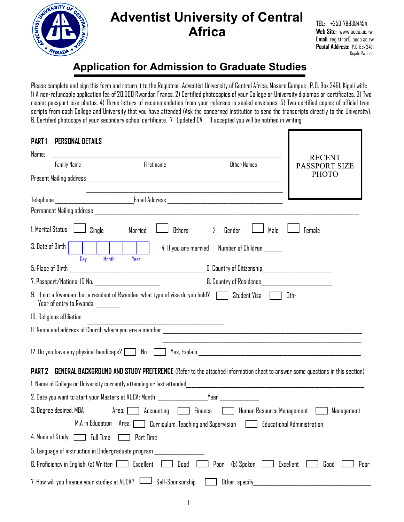

# **Adventist University of Central Africa**

**TEL:** +250-788384454 **Web Site**: www.auca.ac.rw **Email**: registrar@.auca.ac.rw **Postal Address:** P.O. Box 2461 Kigali-Rwanda

# **Application for Admission to Graduate Studies**

Please complete and sign this form and return it to the Registrar, Adventist University of Central Africa, Masoro Campus , P.O. Box 2461, Kigali with: 1) A non-refundable application fee of 20,000 Rwandan Francs. 2) Certified photocopies of your College or University diplomas or certificates. 3) Two recent passport-size photos. 4) Three letters of recommendation from your referees in sealed envelopes. 5) Two certified copies of official transcripts from each College and University that you have attended (Ask the concerned institution to send the transcripts directly to the University). 6. Certified photocopy of your secondary school certificate. 7. Updated CV. If accepted you will be notified in writing.

| <b>PART1</b>      | PERSONAL DETAILS                              |                                                                                                                                                   |                                                                                                                       |                                                 |      |                                                                                                                                 |
|-------------------|-----------------------------------------------|---------------------------------------------------------------------------------------------------------------------------------------------------|-----------------------------------------------------------------------------------------------------------------------|-------------------------------------------------|------|---------------------------------------------------------------------------------------------------------------------------------|
| Name:             |                                               |                                                                                                                                                   |                                                                                                                       |                                                 |      | <b>RECENT</b>                                                                                                                   |
|                   | <b>Family Name</b>                            |                                                                                                                                                   | First name                                                                                                            | Other Names                                     |      | <b>PASSPORT SIZE</b>                                                                                                            |
|                   |                                               |                                                                                                                                                   |                                                                                                                       |                                                 |      | <b>PHOTO</b>                                                                                                                    |
|                   |                                               |                                                                                                                                                   | <u> 1989 - Johann Stoff, deutscher Stoff, der Stoff, der Stoff, der Stoff, der Stoff, der Stoff, der Stoff, der S</u> |                                                 |      |                                                                                                                                 |
|                   |                                               |                                                                                                                                                   |                                                                                                                       |                                                 |      |                                                                                                                                 |
|                   |                                               |                                                                                                                                                   |                                                                                                                       |                                                 |      |                                                                                                                                 |
| 1. Marital Status |                                               | Single<br>Married                                                                                                                                 | Others                                                                                                                | Gender<br>2.                                    | Male | Female                                                                                                                          |
| 3. Date of Birth  |                                               |                                                                                                                                                   |                                                                                                                       | 4. If you are married Number of Children ______ |      |                                                                                                                                 |
|                   | Day                                           | <b>Month</b><br>Year                                                                                                                              |                                                                                                                       |                                                 |      | 6. Country of Citizenship_______________________________                                                                        |
|                   |                                               | 7. Passport/National ID No. _______________________                                                                                               |                                                                                                                       |                                                 |      |                                                                                                                                 |
|                   | Year of entry to Rwanda                       | 9. If not a Rwandan but a resident of Rwandan, what type of visa do you hold? [15] Student Visa                                                   |                                                                                                                       |                                                 |      | Oth-                                                                                                                            |
|                   | 10. Religious affiliation                     |                                                                                                                                                   |                                                                                                                       |                                                 |      |                                                                                                                                 |
|                   |                                               |                                                                                                                                                   | <u> 1986 - John Stone, Amerikaansk politiker (</u>                                                                    |                                                 |      |                                                                                                                                 |
|                   |                                               |                                                                                                                                                   |                                                                                                                       |                                                 |      |                                                                                                                                 |
| PART 2            |                                               |                                                                                                                                                   |                                                                                                                       |                                                 |      | GENERAL BACKGROUND AND STUDY PREFERENCE (Refer to the attached information sheet to answer some questions in this section)      |
|                   |                                               |                                                                                                                                                   |                                                                                                                       |                                                 |      |                                                                                                                                 |
|                   |                                               | 2. Date you want to start your Masters at AUCA: Month _____________________Year ______________                                                    |                                                                                                                       |                                                 |      |                                                                                                                                 |
|                   |                                               | 3. Degree desired: MBA                             Area: [ _ ]     Accounting     [ ]     Finance       [ ]   Human Resource Management   [ ]   ] |                                                                                                                       |                                                 |      | Management                                                                                                                      |
|                   |                                               |                                                                                                                                                   |                                                                                                                       |                                                 |      | M.A in Education      Area: Contribution, Teaching and Supervision                                   Educational Administration |
|                   | 4. Mode of Study: [13] Full Time              | Part Time                                                                                                                                         |                                                                                                                       |                                                 |      |                                                                                                                                 |
|                   |                                               | 5. Language of instruction in Undergraduate program                                                                                               |                                                                                                                       |                                                 |      |                                                                                                                                 |
|                   |                                               | $6.$ Proficiency in English: (a) Written $\Box$ Excellent                                                                                         | Good                                                                                                                  | Poor<br>(b) Spoken                              |      | Excellent<br>Poor<br>Good                                                                                                       |
|                   | 7. How will you finance your studies at AUCA? |                                                                                                                                                   | Self-Sponsorship                                                                                                      | Other, specify                                  |      |                                                                                                                                 |